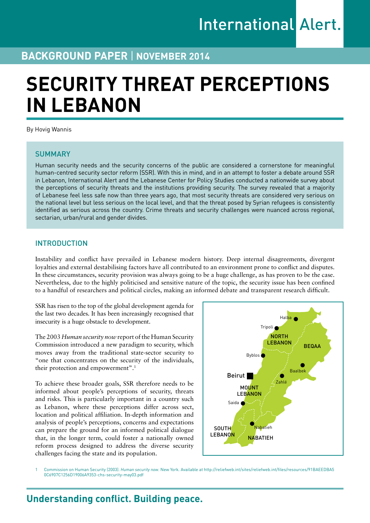## **BACKGROUND PAPER** | **November 2014**

# **SECURITY THREAT PERCEPTIONS IN LEBANON**

By Hovig Wannis

## **SUMMARY**

Human security needs and the security concerns of the public are considered a cornerstone for meaningful human-centred security sector reform (SSR). With this in mind, and in an attempt to foster a debate around SSR in Lebanon, International Alert and the Lebanese Center for Policy Studies conducted a nationwide survey about the perceptions of security threats and the institutions providing security. The survey revealed that a majority of Lebanese feel less safe now than three years ago, that most security threats are considered very serious on the national level but less serious on the local level, and that the threat posed by Syrian refugees is consistently identified as serious across the country. Crime threats and security challenges were nuanced across regional, sectarian, urban/rural and gender divides.

## INTRODUCTION

Instability and conflict have prevailed in Lebanese modern history. Deep internal disagreements, divergent loyalties and external destabilising factors have all contributed to an environment prone to conflict and disputes. In these circumstances, security provision was always going to be a huge challenge, as has proven to be the case. Nevertheless, due to the highly politicised and sensitive nature of the topic, the security issue has been confined to a handful of researchers and political circles, making an informed debate and transparent research difficult.

SSR has risen to the top of the global development agenda for the last two decades. It has been increasingly recognised that insecurity is a huge obstacle to development.

The 2003 *Human security now* report of the Human Security Commission introduced a new paradigm to security, which moves away from the traditional state-sector security to "one that concentrates on the security of the individuals, their protection and empowerment".<sup>1</sup>

To achieve these broader goals, SSR therefore needs to be informed about people's perceptions of security, threats and risks. This is particularly important in a country such as Lebanon, where these perceptions differ across sect, location and political affiliation. In-depth information and analysis of people's perceptions, concerns and expectations can prepare the ground for an informed political dialogue that, in the longer term, could foster a nationally owned reform process designed to address the diverse security challenges facing the state and its population.



1 Commission on Human Security (2003). *Human security now*. New York. Available at [http://reliefweb.int/sites/reliefweb.int/files/resources/91BAEEDBA5](http://reliefweb.int/sites/reliefweb.int/files/resources/91BAEEDBA50C6907C1256D19006A9353-chs-security-may03.pdf) [0C6907C1256D19006A9353-chs-security-may03.pdf](http://reliefweb.int/sites/reliefweb.int/files/resources/91BAEEDBA50C6907C1256D19006A9353-chs-security-may03.pdf)

# **Understanding conflict. Building peace.**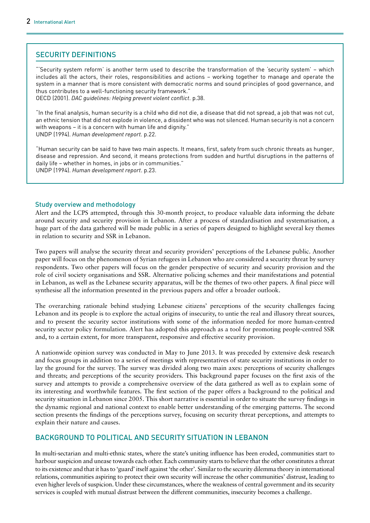## SECURITY DEFINITIONS

"'Security system reform' is another term used to describe the transformation of the 'security system' – which includes all the actors, their roles, responsibilities and actions – working together to manage and operate the system in a manner that is more consistent with democratic norms and sound principles of good governance, and thus contributes to a well-functioning security framework." OECD (2001). *DAC guidelines: Helping prevent violent conflict*. p.38.

"In the final analysis, human security is a child who did not die, a disease that did not spread, a job that was not cut, an ethnic tension that did not explode in violence, a dissident who was not silenced. Human security is not a concern

with weapons – it is a concern with human life and dignity." UNDP (1994). *Human development report.* p.22.

"Human security can be said to have two main aspects. It means, first, safety from such chronic threats as hunger, disease and repression. And second, it means protections from sudden and hurtful disruptions in the patterns of daily life – whether in homes, in jobs or in communities." UNDP (1994). *Human development report*. p.23.

## Study overview and methodology

Alert and the LCPS attempted, through this 30-month project, to produce valuable data informing the debate around security and security provision in Lebanon. After a process of standardisation and systematisation, a huge part of the data gathered will be made public in a series of papers designed to highlight several key themes in relation to security and SSR in Lebanon.

Two papers will analyse the security threat and security providers' perceptions of the Lebanese public. Another paper will focus on the phenomenon of Syrian refugees in Lebanon who are considered a security threat by survey respondents. Two other papers will focus on the gender perspective of security and security provision and the role of civil society organisations and SSR. Alternative policing schemes and their manifestations and potential in Lebanon, as well as the Lebanese security apparatus, will be the themes of two other papers. A final piece will synthesise all the information presented in the previous papers and offer a broader outlook.

The overarching rationale behind studying Lebanese citizens' perceptions of the security challenges facing Lebanon and its people is to explore the actual origins of insecurity, to untie the real and illusory threat sources, and to present the security sector institutions with some of the information needed for more human-centred security sector policy formulation. Alert has adopted this approach as a tool for promoting people-centred SSR and, to a certain extent, for more transparent, responsive and effective security provision.

A nationwide opinion survey was conducted in May to June 2013. It was preceded by extensive desk research and focus groups in addition to a series of meetings with representatives of state security institutions in order to lay the ground for the survey. The survey was divided along two main axes: perceptions of security challenges and threats; and perceptions of the security providers. This background paper focuses on the first axis of the survey and attempts to provide a comprehensive overview of the data gathered as well as to explain some of its interesting and worthwhile features. The first section of the paper offers a background to the political and security situation in Lebanon since 2005. This short narrative is essential in order to situate the survey findings in the dynamic regional and national context to enable better understanding of the emerging patterns. The second section presents the findings of the perceptions survey, focusing on security threat perceptions, and attempts to explain their nature and causes.

## BACKGROUND TO POLITICAL AND SECURITY SITUATION IN LEBANON

In multi-sectarian and multi-ethnic states, where the state's uniting influence has been eroded, communities start to harbour suspicion and unease towards each other. Each community starts to believe that the other constitutes a threat to its existence and that it has to 'guard' itself against 'the other'. Similar to the security dilemma theory in international relations, communities aspiring to protect their own security will increase the other communities' distrust, leading to even higher levels of suspicion. Under these circumstances, where the weakness of central government and its security services is coupled with mutual distrust between the different communities, insecurity becomes a challenge.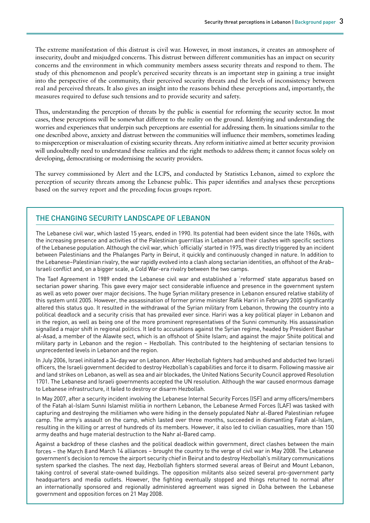The extreme manifestation of this distrust is civil war. However, in most instances, it creates an atmosphere of insecurity, doubt and misjudged concerns. This distrust between different communities has an impact on security concerns and the environment in which community members assess security threats and respond to them. The study of this phenomenon and people's perceived security threats is an important step in gaining a true insight into the perspective of the community, their perceived security threats and the levels of inconsistency between real and perceived threats. It also gives an insight into the reasons behind these perceptions and, importantly, the measures required to defuse such tensions and to provide security and safety.

Thus, understanding the perception of threats by the public is essential for reforming the security sector. In most cases, these perceptions will be somewhat different to the reality on the ground. Identifying and understanding the worries and experiences that underpin such perceptions are essential for addressing them. In situations similar to the one described above, anxiety and distrust between the communities will influence their members, sometimes leading to misperception or misevaluation of existing security threats. Any reform initiative aimed at better security provision will undoubtedly need to understand these realities and the right methods to address them; it cannot focus solely on developing, democratising or modernising the security providers.

The survey commissioned by Alert and the LCPS, and conducted by Statistics Lebanon, aimed to explore the perception of security threats among the Lebanese public. This paper identifies and analyses these perceptions based on the survey report and the preceding focus groups report.

## The changing security landscape of Lebanon

The Lebanese civil war, which lasted 15 years, ended in 1990. Its potential had been evident since the late 1960s, with the increasing presence and activities of the Palestinian guerrillas in Lebanon and their clashes with specific sections of the Lebanese population. Although the civil war, which 'officially' started in 1975, was directly triggered by an incident between Palestinians and the Phalanges Party in Beirut, it quickly and continuously changed in nature. In addition to the Lebanese–Palestinian rivalry, the war rapidly evolved into a clash along sectarian identities, an offshoot of the Arab– Israeli conflict and, on a bigger scale, a Cold War-era rivalry between the two camps.

The Taef Agreement in 1989 ended the Lebanese civil war and established a 'reformed' state apparatus based on sectarian power sharing. This gave every major sect considerable influence and presence in the government system as well as veto power over major decisions. The huge Syrian military presence in Lebanon ensured relative stability of this system until 2005. However, the assassination of former prime minister Rafik Hariri in February 2005 significantly altered this status quo. It resulted in the withdrawal of the Syrian military from Lebanon, throwing the country into a political deadlock and a security crisis that has prevailed ever since. Hariri was a key political player in Lebanon and in the region, as well as being one of the more prominent representatives of the Sunni community. His assassination signalled a major shift in regional politics. It led to accusations against the Syrian regime, headed by President Bashar al-Asad, a member of the Alawite sect, which is an offshoot of Shiite Islam; and against the major Shiite political and military party in Lebanon and the region – Hezbollah. This contributed to the heightening of sectarian tensions to unprecedented levels in Lebanon and the region.

In July 2006, Israel initiated a 34-day war on Lebanon. After Hezbollah fighters had ambushed and abducted two Israeli officers, the Israeli government decided to destroy Hezbollah's capabilities and force it to disarm. Following massive air and land strikes on Lebanon, as well as sea and air blockades, the United Nations Security Council approved Resolution 1701. The Lebanese and Israeli governments accepted the UN resolution. Although the war caused enormous damage to Lebanese infrastructure, it failed to destroy or disarm Hezbollah.

In May 2007, after a security incident involving the Lebanese Internal Security Forces (ISF) and army officers/members of the Fatah al-Islam Sunni Islamist militia in northern Lebanon, the Lebanese Armed Forces (LAF) was tasked with capturing and destroying the militiamen who were hiding in the densely populated Nahr al-Bared Palestinian refugee camp. The army's assault on the camp, which lasted over three months, succeeded in dismantling Fatah al-Islam, resulting in the killing or arrest of hundreds of its members. However, it also led to civilian casualties, more than 150 army deaths and huge material destruction to the Nahr al-Bared camp.

Against a backdrop of these clashes and the political deadlock within government, direct clashes between the main forces – the March 8 and March 14 alliances – brought the country to the verge of civil war in May 2008. The Lebanese government's decision to remove the airport security chief in Beirut and to destroy Hezbollah's military communications system sparked the clashes. The next day, Hezbollah fighters stormed several areas of Beirut and Mount Lebanon, taking control of several state-owned buildings. The opposition militants also seized several pro-government party headquarters and media outlets. However, the fighting eventually stopped and things returned to normal after an internationally sponsored and regionally administered agreement was signed in Doha between the Lebanese government and opposition forces on 21 May 2008.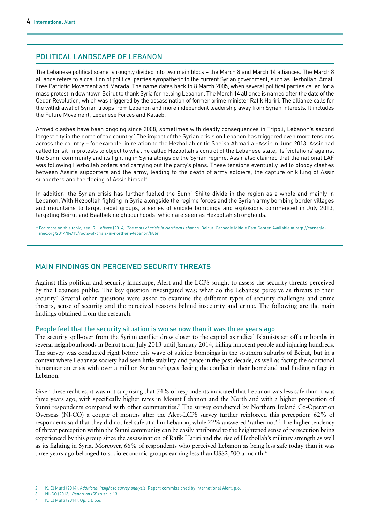## Political landscape of Lebanon

The Lebanese political scene is roughly divided into two main blocs – the March 8 and March 14 alliances. The March 8 alliance refers to a coalition of political parties sympathetic to the current Syrian government, such as Hezbollah, Amal, Free Patriotic Movement and Marada. The name dates back to 8 March 2005, when several political parties called for a mass protest in downtown Beirut to thank Syria for helping Lebanon. The March 14 alliance is named after the date of the Cedar Revolution, which was triggered by the assassination of former prime minister Rafik Hariri. The alliance calls for the withdrawal of Syrian troops from Lebanon and more independent leadership away from Syrian interests. It includes the Future Movement, Lebanese Forces and Kataeb.

Armed clashes have been ongoing since 2008, sometimes with deadly consequences in Tripoli, Lebanon's second largest city in the north of the country.\* The impact of the Syrian crisis on Lebanon has triggered even more tensions across the country – for example, in relation to the Hezbollah critic Sheikh Ahmad al-Assir in June 2013. Assir had called for sit-in protests to object to what he called Hezbollah's control of the Lebanese state, its 'violations' against the Sunni community and its fighting in Syria alongside the Syrian regime. Assir also claimed that the national LAF was following Hezbollah orders and carrying out the party's plans. These tensions eventually led to bloody clashes between Assir's supporters and the army, leading to the death of army soldiers, the capture or killing of Assir supporters and the fleeing of Assir himself.

In addition, the Syrian crisis has further fuelled the Sunni–Shiite divide in the region as a whole and mainly in Lebanon. With Hezbollah fighting in Syria alongside the regime forces and the Syrian army bombing border villages and mountains to target rebel groups, a series of suicide bombings and explosions commenced in July 2013, targeting Beirut and Baalbek neighbourhoods, which are seen as Hezbollah strongholds.

\* For more on this topic, see: R. Lefèvre (2014). *The roots of crisis in Northern Lebanon*. Beirut: Carnegie Middle East Center. Available at [http://carnegie](http://carnegie-mec.org/2014/04/15/roots-of-crisis-in-northern-lebanon/h86r)[mec.org/2014/04/15/roots-of-crisis-in-northern-lebanon/h86r](http://carnegie-mec.org/2014/04/15/roots-of-crisis-in-northern-lebanon/h86r)

## MAIN FINDINGS ON PERCEIVED SECURITY THREATS

Against this political and security landscape, Alert and the LCPS sought to assess the security threats perceived by the Lebanese public. The key question investigated was: what do the Lebanese perceive as threats to their security? Several other questions were asked to examine the different types of security challenges and crime threats, sense of security and the perceived reasons behind insecurity and crime. The following are the main findings obtained from the research.

## People feel that the security situation is worse now than it was three years ago

The security spill-over from the Syrian conflict drew closer to the capital as radical Islamists set off car bombs in several neighbourhoods in Beirut from July 2013 until January 2014, killing innocent people and injuring hundreds. The survey was conducted right before this wave of suicide bombings in the southern suburbs of Beirut, but in a context where Lebanese society had seen little stability and peace in the past decade, as well as facing the additional humanitarian crisis with over a million Syrian refugees fleeing the conflict in their homeland and finding refuge in Lebanon.

Given these realities, it was not surprising that 74% of respondents indicated that Lebanon was less safe than it was three years ago, with specifically higher rates in Mount Lebanon and the North and with a higher proportion of Sunni respondents compared with other communities.<sup>2</sup> The survey conducted by Northern Ireland Co-Operation Overseas (NI-CO) a couple of months after the Alert-LCPS survey further reinforced this perception: 62% of respondents said that they did not feel safe at all in Lebanon, while 22% answered 'rather not'.<sup>3</sup> The higher tendency of threat perception within the Sunni community can be easily attributed to the heightened sense of persecution being experienced by this group since the assassination of Rafik Hariri and the rise of Hezbollah's military strength as well as its fighting in Syria. Moreover, 66% of respondents who perceived Lebanon as being less safe today than it was three years ago belonged to socio-economic groups earning less than US\$2,500 a month.4

3 NI-CO (2013). *Report on ISF trust*. p.13.

4 K. El Mufti (2014). Op. cit. p.6.

<sup>2</sup> K. El Mufti (2014). *Additional insight to survey analysis*, Report commissioned by International Alert. p.6.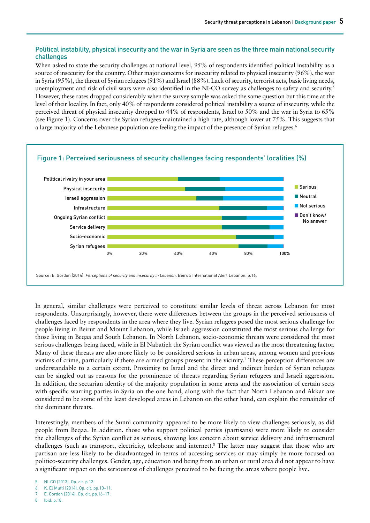## Political instability, physical insecurity and the war in Syria are seen as the three main national security challenges

When asked to state the security challenges at national level, 95% of respondents identified political instability as a source of insecurity for the country. Other major concerns for insecurity related to physical insecurity (96%), the war in Syria (95%), the threat of Syrian refugees (91%) and Israel (88%). Lack of security, terrorist acts, basic living needs, unemployment and risk of civil wars were also identified in the NI-CO survey as challenges to safety and security.5 However, these rates dropped considerably when the survey sample was asked the same question but this time at the level of their locality. In fact, only 40% of respondents considered political instability a source of insecurity, while the perceived threat of physical insecurity dropped to 44% of respondents, Israel to 50% and the war in Syria to 65% (see Figure 1). Concerns over the Syrian refugees maintained a high rate, although lower at 75%. This suggests that a large majority of the Lebanese population are feeling the impact of the presence of Syrian refugees.<sup>6</sup>



In general, similar challenges were perceived to constitute similar levels of threat across Lebanon for most respondents. Unsurprisingly, however, there were differences between the groups in the perceived seriousness of challenges faced by respondents in the area where they live. Syrian refugees posed the most serious challenge for people living in Beirut and Mount Lebanon, while Israeli aggression constituted the most serious challenge for those living in Beqaa and South Lebanon. In North Lebanon, socio-economic threats were considered the most serious challenges being faced, while in El Nabatieh the Syrian conflict was viewed as the most threatening factor. Many of these threats are also more likely to be considered serious in urban areas, among women and previous victims of crime, particularly if there are armed groups present in the vicinity.7 These perception differences are understandable to a certain extent. Proximity to Israel and the direct and indirect burden of Syrian refugees can be singled out as reasons for the prominence of threats regarding Syrian refugees and Israeli aggression. In addition, the sectarian identity of the majority population in some areas and the association of certain sects with specific warring parties in Syria on the one hand, along with the fact that North Lebanon and Akkar are considered to be some of the least developed areas in Lebanon on the other hand, can explain the remainder of the dominant threats.

Interestingly, members of the Sunni community appeared to be more likely to view challenges seriously, as did people from Beqaa. In addition, those who support political parties (partisans) were more likely to consider the challenges of the Syrian conflict as serious, showing less concern about service delivery and infrastructural challenges (such as transport, electricity, telephone and internet).8 The latter may suggest that those who are partisan are less likely to be disadvantaged in terms of accessing services or may simply be more focused on politico-security challenges. Gender, age, education and being from an urban or rural area did not appear to have a significant impact on the seriousness of challenges perceived to be facing the areas where people live.

7 E. Gordon (2014). Op. cit. pp.16–17.

<sup>5</sup> NI-CO (2013). Op. cit. p.13.

<sup>6</sup> K. El Mufti (2014). Op. cit. pp.10–11.

<sup>8</sup> Ibid. p.18.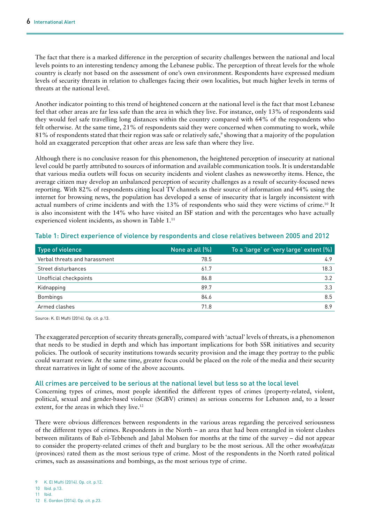The fact that there is a marked difference in the perception of security challenges between the national and local levels points to an interesting tendency among the Lebanese public. The perception of threat levels for the whole country is clearly not based on the assessment of one's own environment. Respondents have expressed medium levels of security threats in relation to challenges facing their own localities, but much higher levels in terms of threats at the national level.

Another indicator pointing to this trend of heightened concern at the national level is the fact that most Lebanese feel that other areas are far less safe than the area in which they live. For instance, only 13% of respondents said they would feel safe travelling long distances within the country compared with 64% of the respondents who felt otherwise. At the same time, 21% of respondents said they were concerned when commuting to work, while 81% of respondents stated that their region was safe or relatively safe,<sup>9</sup> showing that a majority of the population hold an exaggerated perception that other areas are less safe than where they live.

Although there is no conclusive reason for this phenomenon, the heightened perception of insecurity at national level could be partly attributed to sources of information and available communication tools. It is understandable that various media outlets will focus on security incidents and violent clashes as newsworthy items. Hence, the average citizen may develop an unbalanced perception of security challenges as a result of security-focused news reporting. With 82% of respondents citing local TV channels as their source of information and 44% using the internet for browsing news, the population has developed a sense of insecurity that is largely inconsistent with actual numbers of crime incidents and with the 13% of respondents who said they were victims of crime.<sup>10</sup> It is also inconsistent with the 14% who have visited an ISF station and with the percentages who have actually experienced violent incidents, as shown in Table 1.<sup>11</sup>

| Type of violence              | None at all (%) | To a 'large' or 'very large' extent (%) |
|-------------------------------|-----------------|-----------------------------------------|
| Verbal threats and harassment | 78.5            | 4.9                                     |
| Street disturbances           | 61.7            | 18.3                                    |
| Unofficial checkpoints        | 86.8            | 3.2                                     |
| Kidnapping                    | 89.7            | 3.3                                     |
| <b>Bombings</b>               | 84.6            | 8.5                                     |
| Armed clashes                 | 71.8            | 8.9                                     |

## Table 1: Direct experience of violence by respondents and close relatives between 2005 and 2012

Source: K. El Mufti (2014). Op. cit. p.13.

The exaggerated perception of security threats generally, compared with 'actual' levels of threats, is a phenomenon that needs to be studied in depth and which has important implications for both SSR initiatives and security policies. The outlook of security institutions towards security provision and the image they portray to the public could warrant review. At the same time, greater focus could be placed on the role of the media and their security threat narratives in light of some of the above accounts.

## All crimes are perceived to be serious at the national level but less so at the local level

Concerning types of crimes, most people identified the different types of crimes (property-related, violent, political, sexual and gender-based violence (SGBV) crimes) as serious concerns for Lebanon and, to a lesser extent, for the areas in which they live.<sup>12</sup>

There were obvious differences between respondents in the various areas regarding the perceived seriousness of the different types of crimes. Respondents in the North – an area that had been entangled in violent clashes between militants of Bab el-Tebbeneh and Jabal Mohsen for months at the time of the survey – did not appear to consider the property-related crimes of theft and burglary to be the most serious. All the other *mouhafazas* (provinces) rated them as the most serious type of crime. Most of the respondents in the North rated political crimes, such as assassinations and bombings, as the most serious type of crime.

<sup>12</sup> E. Gordon (2014). Op. cit. p.23.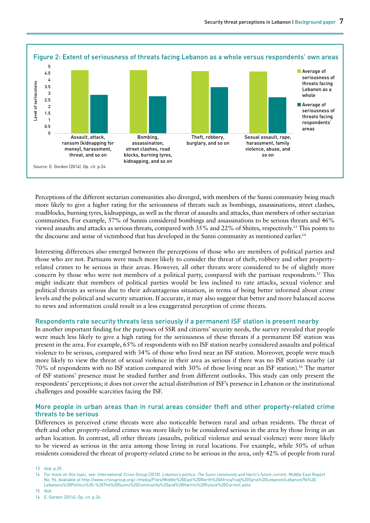

Perceptions of the different sectarian communities also diverged, with members of the Sunni community being much more likely to give a higher rating for the seriousness of threats such as bombings, assassinations, street clashes, roadblocks, burning tyres, kidnappings, as well as the threat of assaults and attacks, than members of other sectarian communities. For example, 57% of Sunnis considered bombings and assassinations to be serious threats and 46% viewed assaults and attacks as serious threats, compared with 35% and 22% of Shiites, respectively.13 This points to the discourse and sense of victimhood that has developed in the Sunni community as mentioned earlier.<sup>14</sup>

Interesting differences also emerged between the perceptions of those who are members of political parties and those who are not. Partisans were much more likely to consider the threat of theft, robbery and other propertyrelated crimes to be serious in their areas. However, all other threats were considered to be of slightly more concern by those who were not members of a political party, compared with the partisan respondents.15 This might indicate that members of political parties would be less inclined to rate attacks, sexual violence and political threats as serious due to their advantageous situation, in terms of being better informed about crime levels and the political and security situation. If accurate, it may also suggest that better and more balanced access to news and information could result in a less exaggerated perception of crime threats.

#### Respondents rate security threats less seriously if a permanent ISF station is present nearby

In another important finding for the purposes of SSR and citizens' security needs, the survey revealed that people were much less likely to give a high rating for the seriousness of these threats if a permanent ISF station was present in the area. For example, 65% of respondents with no ISF station nearby considered assaults and political violence to be serious, compared with 34% of those who lived near an ISF station. Moreover, people were much more likely to view the threat of sexual violence in their area as serious if there was no ISF station nearby (at 70% of respondents with no ISF station compared with 30% of those living near an ISF station).16 The matter of ISF stations' presence must be studied further and from different outlooks. This study can only present the respondents' perceptions; it does not cover the actual distribution of ISF's presence in Lebanon or the institutional challenges and possible scarcities facing the ISF.

#### More people in urban areas than in rural areas consider theft and other property-related crime threats to be serious

Differences in perceived crime threats were also noticeable between rural and urban residents. The threat of theft and other property-related crimes was more likely to be considered serious in the area by those living in an urban location. In contrast, all other threats (assaults, political violence and sexual violence) were more likely to be viewed as serious in the area among those living in rural locations. For example, while 50% of urban residents considered the threat of property-related crime to be serious in the area, only 42% of people from rural

13 Ibid. p.25.

15 Ibid.

<sup>14</sup> For more on this topic, see: International Crisis Group (2010). *Lebanon's politics: The Sunni community and Hariri's future current*, Middle East Report No. 96. Available at [http://www.crisisgroup.org/~/media/Files/Middle%20East%20North%20Africa/Iraq%20Syria%20Lebanon/Lebanon/96%20](http://www.crisisgroup.org/~/media/Files/Middle East North Africa/Iraq Syria Lebanon/Lebanon/96 Lebanons Politics - The Sunni Community and Hariris Future Current.ashx) [Lebanons%20Politics%20-%20The%20Sunni%20Community%20and%20Hariris%20Future%20Current.ashx](http://www.crisisgroup.org/~/media/Files/Middle East North Africa/Iraq Syria Lebanon/Lebanon/96 Lebanons Politics - The Sunni Community and Hariris Future Current.ashx)

<sup>16</sup> E. Gordon (2014). Op. cit. p.26.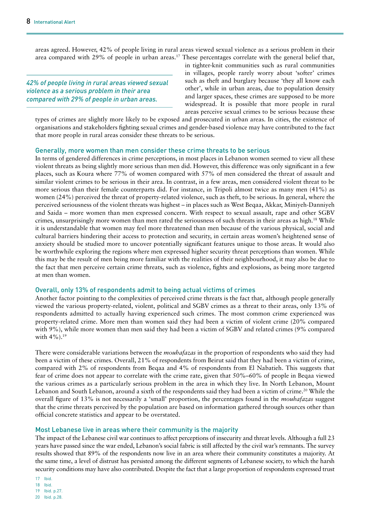areas agreed. However, 42% of people living in rural areas viewed sexual violence as a serious problem in their area compared with 29% of people in urban areas.<sup>17</sup> These percentages correlate with the general belief that,

*42% of people living in rural areas viewed sexual violence as a serious problem in their area compared with 29% of people in urban areas.*

in tighter-knit communities such as rural communities in villages, people rarely worry about 'softer' crimes such as theft and burglary because 'they all know each other', while in urban areas, due to population density and larger spaces, these crimes are supposed to be more widespread. It is possible that more people in rural areas perceive sexual crimes to be serious because these

types of crimes are slightly more likely to be exposed and prosecuted in urban areas. In cities, the existence of organisations and stakeholders fighting sexual crimes and gender-based violence may have contributed to the fact that more people in rural areas consider these threats to be serious.

#### Generally, more women than men consider these crime threats to be serious

In terms of gendered differences in crime perceptions, in most places in Lebanon women seemed to view all these violent threats as being slightly more serious than men did. However, this difference was only significant in a few places, such as Koura where 77% of women compared with 57% of men considered the threat of assault and similar violent crimes to be serious in their area. In contrast, in a few areas, men considered violent threat to be more serious than their female counterparts did. For instance, in Tripoli almost twice as many men (41%) as women (24%) perceived the threat of property-related violence, such as theft, to be serious. In general, where the perceived seriousness of the violent threats was highest – in places such as West Beqaa, Akkar, Miniyeh-Danniyeh and Saida – more women than men expressed concern. With respect to sexual assault, rape and other SGBV crimes, unsurprisingly more women than men rated the seriousness of such threats in their areas as high.18 While it is understandable that women may feel more threatened than men because of the various physical, social and cultural barriers hindering their access to protection and security, in certain areas women's heightened sense of anxiety should be studied more to uncover potentially significant features unique to those areas. It would also be worthwhile exploring the regions where men expressed higher security threat perceptions than women. While this may be the result of men being more familiar with the realities of their neighbourhood, it may also be due to the fact that men perceive certain crime threats, such as violence, fights and explosions, as being more targeted at men than women.

#### Overall, only 13% of respondents admit to being actual victims of crimes

Another factor pointing to the complexities of perceived crime threats is the fact that, although people generally viewed the various property-related, violent, political and SGBV crimes as a threat to their areas, only 13% of respondents admitted to actually having experienced such crimes. The most common crime experienced was property-related crime. More men than women said they had been a victim of violent crime (20% compared with 9%), while more women than men said they had been a victim of SGBV and related crimes (9% compared with 4%).<sup>19</sup>

There were considerable variations between the *mouhafazas* in the proportion of respondents who said they had been a victim of these crimes. Overall, 21% of respondents from Beirut said that they had been a victim of crime, compared with 2% of respondents from Beqaa and 4% of respondents from El Nabatieh. This suggests that fear of crime does not appear to correlate with the crime rate, given that 50%–60% of people in Beqaa viewed the various crimes as a particularly serious problem in the area in which they live. In North Lebanon, Mount Lebanon and South Lebanon, around a sixth of the respondents said they had been a victim of crime.<sup>20</sup> While the overall figure of 13% is not necessarily a 'small' proportion, the percentages found in the *mouhafazas* suggest that the crime threats perceived by the population are based on information gathered through sources other than official concrete statistics and appear to be overstated.

#### Most Lebanese live in areas where their community is the majority

The impact of the Lebanese civil war continues to affect perceptions of insecurity and threat levels. Although a full 23 years have passed since the war ended, Lebanon's social fabric is still affected by the civil war's remnants. The survey results showed that 89% of the respondents now live in an area where their community constitutes a majority. At the same time, a level of distrust has persisted among the different segments of Lebanese society, to which the harsh security conditions may have also contributed. Despite the fact that a large proportion of respondents expressed trust

<sup>17</sup> Ibid.

<sup>18</sup> Ibid.

<sup>19</sup> Ibid. p.27.

<sup>20</sup> Ibid. p.28.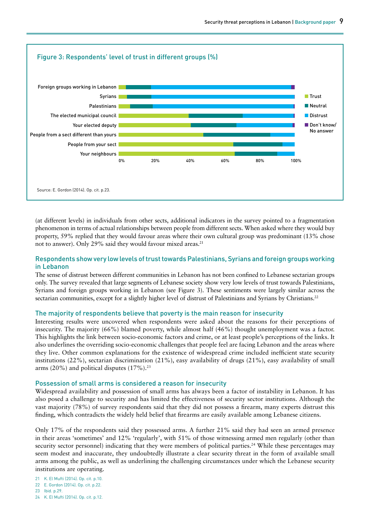

(at different levels) in individuals from other sects, additional indicators in the survey pointed to a fragmentation phenomenon in terms of actual relationships between people from different sects. When asked where they would buy property, 59% replied that they would favour areas where their own cultural group was predominant (13% chose not to answer). Only 29% said they would favour mixed areas.<sup>21</sup>

#### Respondents show very low levels of trust towards Palestinians, Syrians and foreign groups working in Lebanon

The sense of distrust between different communities in Lebanon has not been confined to Lebanese sectarian groups only. The survey revealed that large segments of Lebanese society show very low levels of trust towards Palestinians, Syrians and foreign groups working in Lebanon (see Figure 3). These sentiments were largely similar across the sectarian communities, except for a slightly higher level of distrust of Palestinians and Syrians by Christians.<sup>22</sup>

#### The majority of respondents believe that poverty is the main reason for insecurity

Interesting results were uncovered when respondents were asked about the reasons for their perceptions of insecurity. The majority (66%) blamed poverty, while almost half (46%) thought unemployment was a factor. This highlights the link between socio-economic factors and crime, or at least people's perceptions of the links. It also underlines the overriding socio-economic challenges that people feel are facing Lebanon and the areas where they live. Other common explanations for the existence of widespread crime included inefficient state security institutions (22%), sectarian discrimination (21%), easy availability of drugs (21%), easy availability of small arms  $(20\%)$  and political disputes  $(17\%)$ .<sup>23</sup>

#### Possession of small arms is considered a reason for insecurity

Widespread availability and possession of small arms has always been a factor of instability in Lebanon. It has also posed a challenge to security and has limited the effectiveness of security sector institutions. Although the vast majority (78%) of survey respondents said that they did not possess a firearm, many experts distrust this finding, which contradicts the widely held belief that firearms are easily available among Lebanese citizens.

Only 17% of the respondents said they possessed arms. A further 21% said they had seen an armed presence in their areas 'sometimes' and 12% 'regularly', with 51% of those witnessing armed men regularly (other than security sector personnel) indicating that they were members of political parties.<sup>24</sup> While these percentages may seem modest and inaccurate, they undoubtedly illustrate a clear security threat in the form of available small arms among the public, as well as underlining the challenging circumstances under which the Lebanese security institutions are operating.

- 21 K. El Mufti (2014). Op. cit. p.10.
- 22 E. Gordon (2014). Op. cit. p.22.
- 23 Ibid. p.29.
- 24 K. El Mufti (2014). Op. cit. p.12.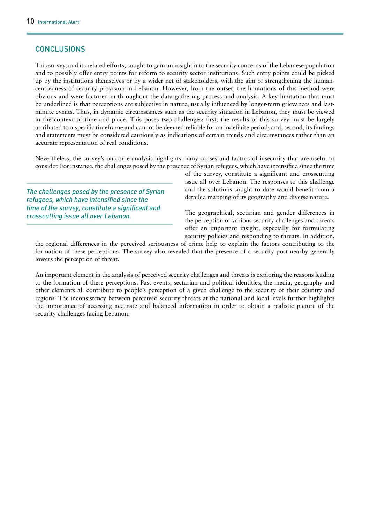## **CONCLUSIONS**

This survey, and its related efforts, sought to gain an insight into the security concerns of the Lebanese population and to possibly offer entry points for reform to security sector institutions. Such entry points could be picked up by the institutions themselves or by a wider net of stakeholders, with the aim of strengthening the humancentredness of security provision in Lebanon. However, from the outset, the limitations of this method were obvious and were factored in throughout the data-gathering process and analysis. A key limitation that must be underlined is that perceptions are subjective in nature, usually influenced by longer-term grievances and lastminute events. Thus, in dynamic circumstances such as the security situation in Lebanon, they must be viewed in the context of time and place. This poses two challenges: first, the results of this survey must be largely attributed to a specific timeframe and cannot be deemed reliable for an indefinite period; and, second, its findings and statements must be considered cautiously as indications of certain trends and circumstances rather than an accurate representation of real conditions.

Nevertheless, the survey's outcome analysis highlights many causes and factors of insecurity that are useful to consider. For instance, the challenges posed by the presence of Syrian refugees, which have intensified since the time

*The challenges posed by the presence of Syrian refugees, which have intensified since the time of the survey, constitute a significant and crosscutting issue all over Lebanon.*

of the survey, constitute a significant and crosscutting issue all over Lebanon. The responses to this challenge and the solutions sought to date would benefit from a detailed mapping of its geography and diverse nature.

The geographical, sectarian and gender differences in the perception of various security challenges and threats offer an important insight, especially for formulating security policies and responding to threats. In addition,

the regional differences in the perceived seriousness of crime help to explain the factors contributing to the formation of these perceptions. The survey also revealed that the presence of a security post nearby generally lowers the perception of threat.

An important element in the analysis of perceived security challenges and threats is exploring the reasons leading to the formation of these perceptions. Past events, sectarian and political identities, the media, geography and other elements all contribute to people's perception of a given challenge to the security of their country and regions. The inconsistency between perceived security threats at the national and local levels further highlights the importance of accessing accurate and balanced information in order to obtain a realistic picture of the security challenges facing Lebanon.